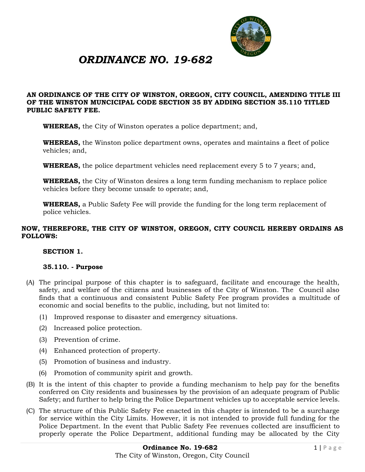

# *ORDINANCE NO. 19-682*

## **AN ORDINANCE OF THE CITY OF WINSTON, OREGON, CITY COUNCIL, AMENDING TITLE III OF THE WINSTON MUNCICIPAL CODE SECTION 35 BY ADDING SECTION 35.110 TITLED PUBLIC SAFETY FEE.**

**WHEREAS,** the City of Winston operates a police department; and,

**WHEREAS,** the Winston police department owns, operates and maintains a fleet of police vehicles; and,

**WHEREAS,** the police department vehicles need replacement every 5 to 7 years; and,

**WHEREAS,** the City of Winston desires a long term funding mechanism to replace police vehicles before they become unsafe to operate; and,

**WHEREAS,** a Public Safety Fee will provide the funding for the long term replacement of police vehicles.

## **NOW, THEREFORE, THE CITY OF WINSTON, OREGON, CITY COUNCIL HEREBY ORDAINS AS FOLLOWS:**

## **SECTION 1.**

## **35.110. - Purpose**

- (A) The principal purpose of this chapter is to safeguard, facilitate and encourage the health, safety, and welfare of the citizens and businesses of the City of Winston. The Council also finds that a continuous and consistent Public Safety Fee program provides a multitude of economic and social benefits to the public, including, but not limited to:
	- (1) Improved response to disaster and emergency situations.
	- (2) Increased police protection.
	- (3) Prevention of crime.
	- (4) Enhanced protection of property.
	- (5) Promotion of business and industry.
	- (6) Promotion of community spirit and growth.
- (B) It is the intent of this chapter to provide a funding mechanism to help pay for the benefits conferred on City residents and businesses by the provision of an adequate program of Public Safety; and further to help bring the Police Department vehicles up to acceptable service levels.
- (C) The structure of this Public Safety Fee enacted in this chapter is intended to be a surcharge for service within the City Limits. However, it is not intended to provide full funding for the Police Department. In the event that Public Safety Fee revenues collected are insufficient to properly operate the Police Department, additional funding may be allocated by the City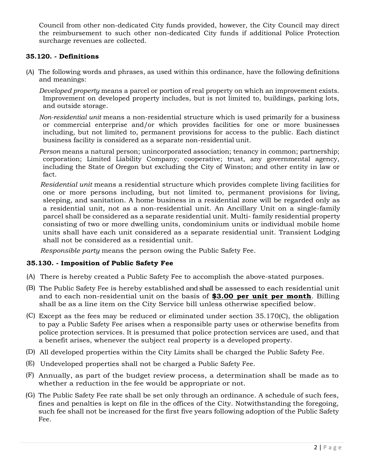Council from other non-dedicated City funds provided, however, the City Council may direct the reimbursement to such other non-dedicated City funds if additional Police Protection surcharge revenues are collected.

## **35.120. - Definitions**

(A) The following words and phrases, as used within this ordinance, have the following definitions and meanings:

*Developed property* means a parcel or portion of real property on which an improvement exists. Improvement on developed property includes, but is not limited to, buildings, parking lots, and outside storage.

*Non-residential unit* means a non-residential structure which is used primarily for a business or commercial enterprise and/or which provides facilities for one or more businesses including, but not limited to, permanent provisions for access to the public. Each distinct business facility is considered as a separate non-residential unit.

*Person* means a natural person; unincorporated association; tenancy in common; partnership; corporation; Limited Liability Company; cooperative; trust, any governmental agency, including the State of Oregon but excluding the City of Winston; and other entity in law or fact.

*Residential unit* means a residential structure which provides complete living facilities for one or more persons including, but not limited to, permanent provisions for living, sleeping, and sanitation. A home business in a residential zone will be regarded only as a residential unit, not as a non-residential unit. An Ancillary Unit on a single-family parcel shall be considered as a separate residential unit. Multi- family residential property consisting of two or more dwelling units, condominium units or individual mobile home units shall have each unit considered as a separate residential unit. Transient Lodging shall not be considered as a residential unit.

*Responsible party* means the person owing the Public Safety Fee.

# **35.130. - Imposition of Public Safety Fee**

- (A) There is hereby created a Public Safety Fee to accomplish the above-stated purposes.
- (B) The Public Safety Fee is hereby established and shall be assessed to each residential unit and to each non-residential unit on the basis of **\$3.00 per unit per month**. Billing shall be as a line item on the City Service bill unless otherwise specified below.
- (C) Except as the fees may be reduced or eliminated under section 35.170(C), the obligation to pay a Public Safety Fee arises when a responsible party uses or otherwise benefits from police protection services. It is presumed that police protection services are used, and that a benefit arises, whenever the subject real property is a developed property.
- (D) All developed properties within the City Limits shall be charged the Public Safety Fee.
- (E) Undeveloped properties shall not be charged a Public Safety Fee.
- (F) Annually, as part of the budget review process, a determination shall be made as to whether a reduction in the fee would be appropriate or not.
- (G) The Public Safety Fee rate shall be set only through an ordinance. A schedule of such fees, fines and penalties is kept on file in the offices of the City. Notwithstanding the foregoing, such fee shall not be increased for the first five years following adoption of the Public Safety Fee.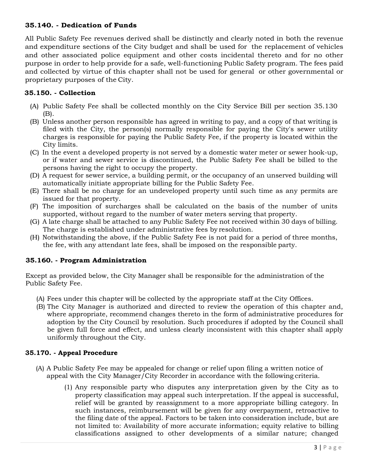## **35.140. - Dedication of Funds**

All Public Safety Fee revenues derived shall be distinctly and clearly noted in both the revenue and expenditure sections of the City budget and shall be used for the replacement of vehicles and other associated police equipment and other costs incidental thereto and for no other purpose in order to help provide for a safe, well-functioning Public Safety program. The fees paid and collected by virtue of this chapter shall not be used for general or other governmental or proprietary purposes of the City.

## **35.150. - Collection**

- (A) Public Safety Fee shall be collected monthly on the City Service Bill per section 35.130 (B).
- (B) Unless another person responsible has agreed in writing to pay, and a copy of that writing is filed with the City, the person(s) normally responsible for paying the City's sewer utility charges is responsible for paying the Public Safety Fee, if the property is located within the City limits.
- (C) In the event a developed property is not served by a domestic water meter or sewer hook-up, or if water and sewer service is discontinued, the Public Safety Fee shall be billed to the persons having the right to occupy the property.
- (D) A request for sewer service, a building permit, or the occupancy of an unserved building will automatically initiate appropriate billing for the Public Safety Fee.
- (E) There shall be no charge for an undeveloped property until such time as any permits are issued for that property.
- (F) The imposition of surcharges shall be calculated on the basis of the number of units supported, without regard to the number of water meters serving that property.
- (G) A late charge shall be attached to any Public Safety Fee not received within 30 days of billing. The charge is established under administrative fees by resolution.
- (H) Notwithstanding the above, if the Public Safety Fee is not paid for a period of three months, the fee, with any attendant late fees, shall be imposed on the responsible party.

# **35.160. - Program Administration**

Except as provided below, the City Manager shall be responsible for the administration of the Public Safety Fee.

- (A) Fees under this chapter will be collected by the appropriate staff at the City Offices.
- (B) The City Manager is authorized and directed to review the operation of this chapter and, where appropriate, recommend changes thereto in the form of administrative procedures for adoption by the City Council by resolution. Such procedures if adopted by the Council shall be given full force and effect, and unless clearly inconsistent with this chapter shall apply uniformly throughout the City.

## **35.170. - Appeal Procedure**

- (A) A Public Safety Fee may be appealed for change or relief upon filing a written notice of appeal with the City Manager/City Recorder in accordance with the following criteria.
	- (1) Any responsible party who disputes any interpretation given by the City as to property classification may appeal such interpretation. If the appeal is successful, relief will be granted by reassignment to a more appropriate billing category. In such instances, reimbursement will be given for any overpayment, retroactive to the filing date of the appeal. Factors to be taken into consideration include, but are not limited to: Availability of more accurate information; equity relative to billing classifications assigned to other developments of a similar nature; changed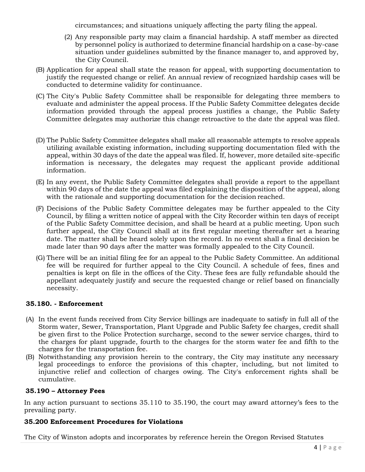circumstances; and situations uniquely affecting the party filing the appeal.

- (2) Any responsible party may claim a financial hardship. A staff member as directed by personnel policy is authorized to determine financial hardship on a case-by-case situation under guidelines submitted by the finance manager to, and approved by, the City Council.
- (B) Application for appeal shall state the reason for appeal, with supporting documentation to justify the requested change or relief. An annual review of recognized hardship cases will be conducted to determine validity for continuance.
- (C) The City's Public Safety Committee shall be responsible for delegating three members to evaluate and administer the appeal process. If the Public Safety Committee delegates decide information provided through the appeal process justifies a change, the Public Safety Committee delegates may authorize this change retroactive to the date the appeal was filed.
- (D) The Public Safety Committee delegates shall make all reasonable attempts to resolve appeals utilizing available existing information, including supporting documentation filed with the appeal, within 30 days of the date the appeal was filed. If, however, more detailed site-specific information is necessary, the delegates may request the applicant provide additional information.
- (E) In any event, the Public Safety Committee delegates shall provide a report to the appellant within 90 days of the date the appeal was filed explaining the disposition of the appeal, along with the rationale and supporting documentation for the decision reached.
- (F) Decisions of the Public Safety Committee delegates may be further appealed to the City Council, by filing a written notice of appeal with the City Recorder within ten days of receipt of the Public Safety Committee decision, and shall be heard at a public meeting. Upon such further appeal, the City Council shall at its first regular meeting thereafter set a hearing date. The matter shall be heard solely upon the record. In no event shall a final decision be made later than 90 days after the matter was formally appealed to the City Council.
- (G) There will be an initial filing fee for an appeal to the Public Safety Committee. An additional fee will be required for further appeal to the City Council. A schedule of fees, fines and penalties is kept on file in the offices of the City. These fees are fully refundable should the appellant adequately justify and secure the requested change or relief based on financially necessity.

# **35.180. - Enforcement**

- (A) In the event funds received from City Service billings are inadequate to satisfy in full all of the Storm water, Sewer, Transportation, Plant Upgrade and Public Safety fee charges, credit shall be given first to the Police Protection surcharge, second to the sewer service charges, third to the charges for plant upgrade, fourth to the charges for the storm water fee and fifth to the charges for the transportation fee.
- (B) Notwithstanding any provision herein to the contrary, the City may institute any necessary legal proceedings to enforce the provisions of this chapter, including, but not limited to injunctive relief and collection of charges owing. The City's enforcement rights shall be cumulative.

# **35.190 – Attorney Fees**

In any action pursuant to sections 35.110 to 35.190, the court may award attorney's fees to the prevailing party.

## **35.200 Enforcement Procedures for Violations**

The City of Winston adopts and incorporates by reference herein the Oregon Revised Statutes